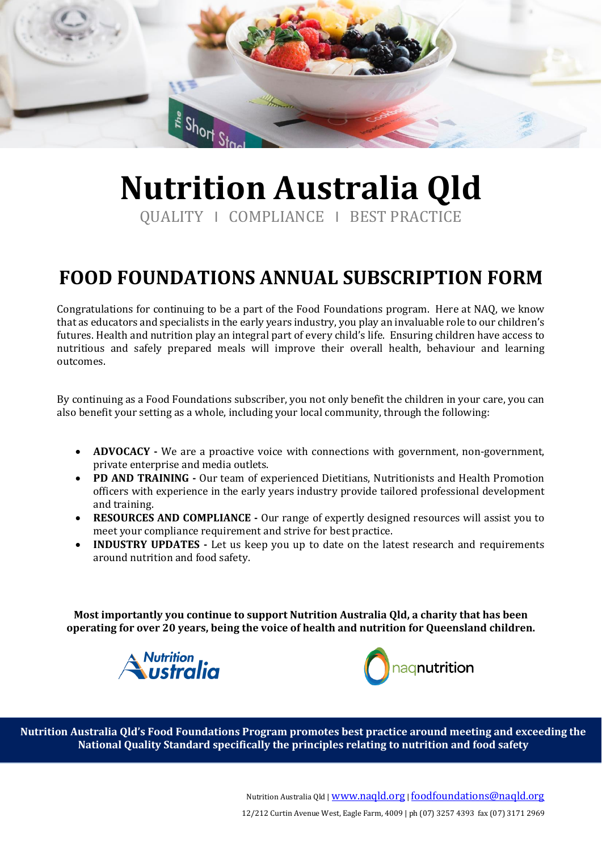

# **Nutrition Australia Qld**

QUALITY I COMPLIANCE I BEST PRACTICE

### **FOOD FOUNDATIONS ANNUAL SUBSCRIPTION FORM**

Congratulations for continuing to be a part of the Food Foundations program. Here at NAQ, we know that as educators and specialists in the early years industry, you play an invaluable role to our children's futures. Health and nutrition play an integral part of every child's life. Ensuring children have access to nutritious and safely prepared meals will improve their overall health, behaviour and learning outcomes.

By continuing as a Food Foundations subscriber, you not only benefit the children in your care, you can also benefit your setting as a whole, including your local community, through the following:

- **ADVOCACY -** We are a proactive voice with connections with government, non-government, private enterprise and media outlets.
- **PD AND TRAINING -** Our team of experienced Dietitians, Nutritionists and Health Promotion officers with experience in the early years industry provide tailored professional development and training.
- **RESOURCES AND COMPLIANCE -** Our range of expertly designed resources will assist you to meet your compliance requirement and strive for best practice.
- **INDUSTRY UPDATES -** Let us keep you up to date on the latest research and requirements around nutrition and food safety.

**Most importantly you continue to support Nutrition Australia Qld, a charity that has been operating for over 20 years, being the voice of health and nutrition for Queensland children.**





 **Nutrition Australia Qld's Food Foundations Program promotes best practice around meeting and exceeding the National Quality Standard specifically the principles relating to nutrition and food safety**

Nutrition Australia Qld | [www.naqld.org](http://www.naqld.org/) | [foodfoundations@naqld.org](mailto:foodfoundations@naqld.org)

12/212 Curtin Avenue West, Eagle Farm, 4009 | ph (07) 3257 4393 fax (07) 3171 2969